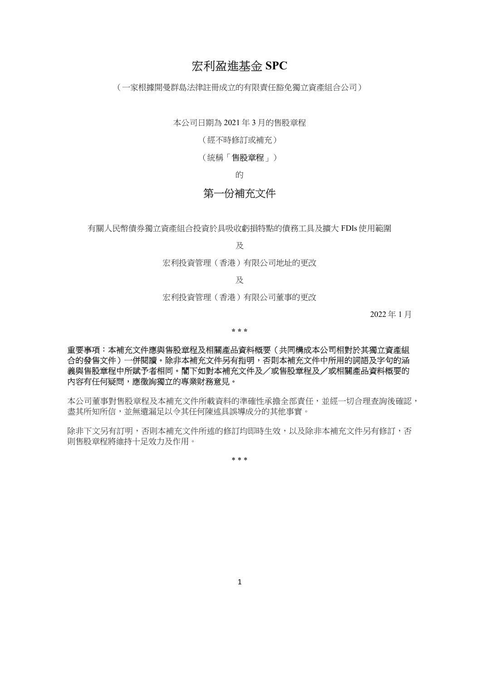# 宏利盈進基金 SPC

(一家根據開曼群島法律註冊成立的有限責任豁免獨立資產組合公司)

本公司日期為 2021 年 3 月的售股章程

(經不時修訂或補充)

(統稱「售股章程」)

的

# 第一份補充文件

有關人民幣債券獨立資產組合投資於具吸收虧損特點的債務工具及擴大 FDIs 使用範圍

及

宏利投資管理(香港)有限公司地址的更改

及

宏利投資管理(香港)有限公司董事的更改

2022 年 1 月

\* \* \*

### 重要事項:本補充文件應與售股章程及相關產品資料概要(共同構成本公司相對於其獨立資產組 合的發售文件)一併閱讀。除非本補充文件另有指明,否則本補充文件中所用的詞語及字句的涵 義與售股章程中所賦予者相同。閣下如對本補充文件及/或售股章程及/或相關產品資料概要的 內容有任何疑問,應徵詢獨立的專業財務意見。

本公司董事對售股章程及本補充文件所載資料的準確性承擔全部責任,並經一切合理查詢後確認, 盡其所知所信,並無遺漏足以令其任何陳述具誤導成分的其他事實。

除非下文另有訂明,否則本補充文件所述的修訂均即時生效,以及除非本補充文件另有修訂,否 則售股章程將維持十足效力及作用。

\* \* \*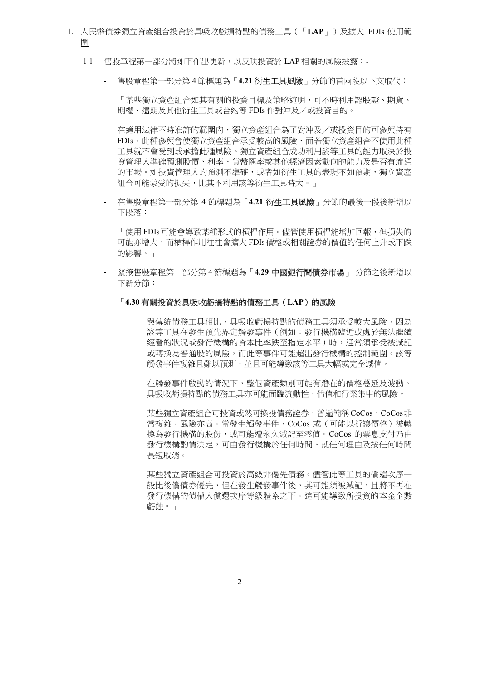- 1. 人民幣債券獨立資產組合投資於具吸收虧損特點的債務工具(「LAP」)及擴大 FDIs 使用範 圍
	- 1.1 售股章程第一部分將如下作出更新,以反映投資於 LAP 相關的風險披露:-
		- 售股章程第一部分第4節標題為「4.21 衍生工具風險」分節的首兩段以下文取代:

「某些獨立資產組合如其有關的投資目標及策略述明,可不時利用認股證、期貨、 期權、遠期及其他衍生工具或合約等 FDIs 作對沖及/或投資目的。

在適用法律不時准許的範圍內,獨立資產組合為了對沖及/或投資目的可參與持有 FDIs。此種參與會使獨立資產組合承受較高的風險,而若獨立資產組合不使用此種 工具就不會受到或承擔此種風險。獨立資產組合成功利用該等工具的能力取決於投 資管理人準確預測股價、利率、貨幣匯率或其他經濟因素動向的能力及是否有流通 的市場。如投資管理人的預測不準確,或者如衍生工具的表現不如預期,獨立資產 組合可能蒙受的損失,比其不利用該等衍生工具時大。」

- 在售股章程第一部分第 4 節標題為「4.21 **衍生工具風險**」分節的最後一段後新增以 下段落:

「使用 FDIs 可能會導致某種形式的槓桿作用。儘管使用槓桿能增加回報,但損失的 可能亦增大,而槓桿作用往往會擴大 FDIs 價格或相關證券的價值的任何上升或下跌 的影響。」

緊接售股章程第一部分第 4 節標題為 「4.29 中國銀行間債券市場」 分節之後新增以 下新分節:

#### 「4.30 有關投資於具吸收虧損特點的債務工具(LAP)的風險

 與傳統債務工具相比,具吸收虧損特點的債務工具須承受較大風險,因為 該等工具在發生預先界定觸發事件(例如:發行機構臨近或處於無法繼續 **經營的狀況或發行機構的資本比率跌至指定水平)時,** 通常須承受被減記 或轉換為普通股的風險,而此等事件可能超出發行機構的控制範圍。該等 觸發事件複雜且難以預測,並且可能導致該等工具大幅或完全減值。

 在觸發事件啟動的情況下,整個資產類別可能有潛在的價格蔓延及波動。 具吸收虧損特點的債務工具亦可能面臨流動性、估值和行業集中的風險。

某些獨立資產組合可投資或然可換股債務證券,普遍簡稱CoCos,CoCos非 常複雜,風險亦高。當發生觸發事件,CoCos 或(可能以折讓價格)被轉 換為發行機構的股份,或可能遭永久減記至零值。CoCos 的票息支付乃由 發行機構酌情決定,可由發行機構於任何時間、就任何理由及按任何時間 長短取消。

 某些獨立資產組合可投資於高級非優先債務。儘管此等工具的償還次序一 般比後償債券優先,但在發生觸發事件後,其可能須被減記,且將不再在 發行機構的債權人償還次序等級體系之下。這可能導致所投資的本金全數 虧蝕。」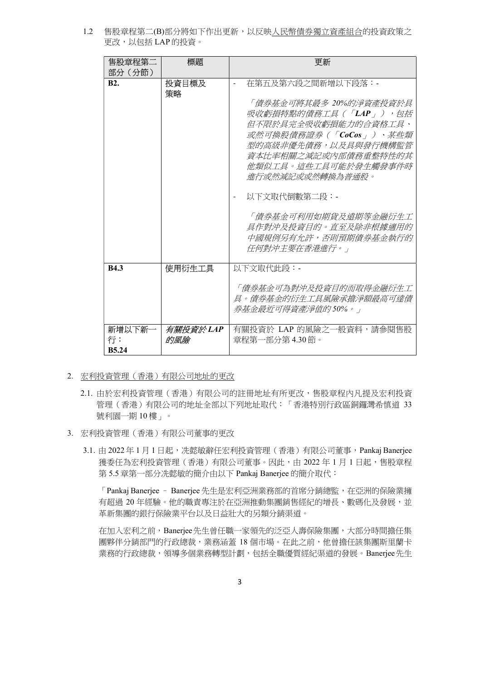1.2 售股章程第二(B)部分將如下作出更新,以反映人民幣債券獨立資產組合的投資政策之 更改,以包括 LAP 的投資。

| 售股童程第二<br>部分(分節)             | 標題              | 更新                                                                                                                                                                                                                                                                                                                                  |
|------------------------------|-----------------|-------------------------------------------------------------------------------------------------------------------------------------------------------------------------------------------------------------------------------------------------------------------------------------------------------------------------------------|
| R2.                          | 投資目標及<br>策略     | 在第五及第六段之間新增以下段落:-<br>「 債券基金可將其最多 20%的淨資產投資於具<br>吸收虧損特點的債務工具(「LAP」),包括<br>但不限於具完全吸收虧損能力的合資格工具、<br>或然可橡股債務證券(「CoCos」)、某些類<br>型的高級非優先債務,以及具與發行機構監管<br><i>資本比率相關之減記或內部債務重整特性的其</i><br>他類似工具。這些工具可能於發牛觸發事件時<br>谁行或然减記或或然轉檢為普诵股。<br>以下文取代倒數第二段:-<br>「債券基金可利用如期貨及遠期等金融衍生工<br>具作對沖及投資月的。直至及除非根據滴用的<br>中國規例另有允許,否則預期債券基金執行的<br>仔何對沖主要在香港進行。」 |
| <b>B4.3</b>                  | 使用衍牛工具          | 以下文取代此段:-<br>「債券基金可為對沖及投資目的而取得金融衍生工<br>且。倩券基金的衍生工且風險承擔淨額最高可達倩<br>养基金最折可得資產淨值的50%。」                                                                                                                                                                                                                                                  |
| 新增以下新-<br>行:<br><b>B5.24</b> | 有關投資於LAP<br>的風險 | 有關投資於 LAP 的風險之一般資料,請參閱售股<br>章程第一部分第 4.30 節。                                                                                                                                                                                                                                                                                         |

- 2. 宏利投資管理(香港)有限公司地址的更改
	- 2.1. 由於宏利投資管理(香港)有限公司的註冊地址有所更改,售股章程內凡提及宏利投資 管理(香港)有限公司的地址全部以下列地址取代:「香港特別行政區銅鑼灣希慎道 33 號利園一期 10 樓」。
- 3. 宏利投資管理(香港)有限公司董事的更改
	- 3.1. 由 2022 年 1 月 1 日起,冼懿敏辭任宏利投資管理(香港)有限公司董事, Pankaj Banerjee 獲委任為宏利投資管理(香港)有限公司董事。因此,由 2022 年 1 月 1 日起,售股章程 第 5.5 章第一部分冼懿敏的簡介由以下 Pankaj Banerjee 的簡介取代:

「Pankaj Banerjee - Banerjee 先生是宏利亞洲業務部的首席分銷總監,在亞洲的保險業擁 有超過 20 年經驗。他的職責專注於在亞洲推動集團銷售經紀的增長、數碼化及發展,並 革新集團的銀行保險業平台以及日益壯大的另類分銷渠道。

在加入宏利之前,Banerjee先生曾任職一家領先的泛亞人壽保險集團,大部分時間擔任集 團夥伴分銷部門的行政總裁,業務涵蓋 18 個市場。在此之前,他曾擔任該集團斯里蘭卡 業務的行政總裁,領導多個業務轉型計劃,包括全職優質經紀渠道的發展。Banerjee先生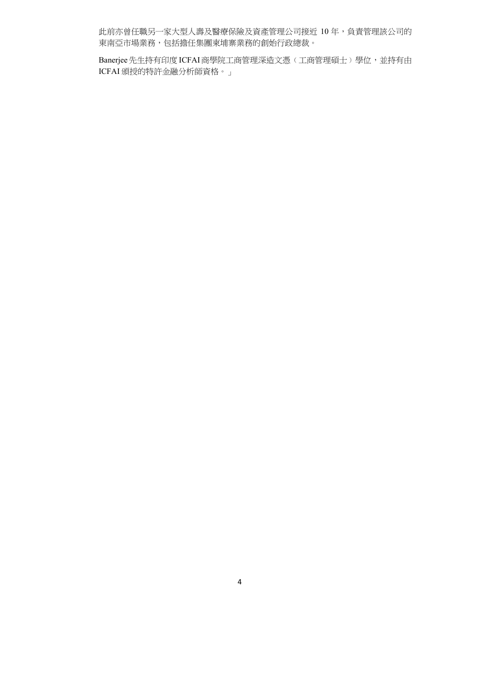此前亦曾任職另一家大型人壽及醫療保險及資產管理公司接近 10 年,負責管理該公司的 東南亞市場業務,包括擔任集團柬埔寨業務的創始行政總裁。

Banerjee先生持有印度 ICFAI 商學院工商管理深造文憑(工商管理碩士)學位,並持有由 ICFAI 頒授的特許金融分析師資格。」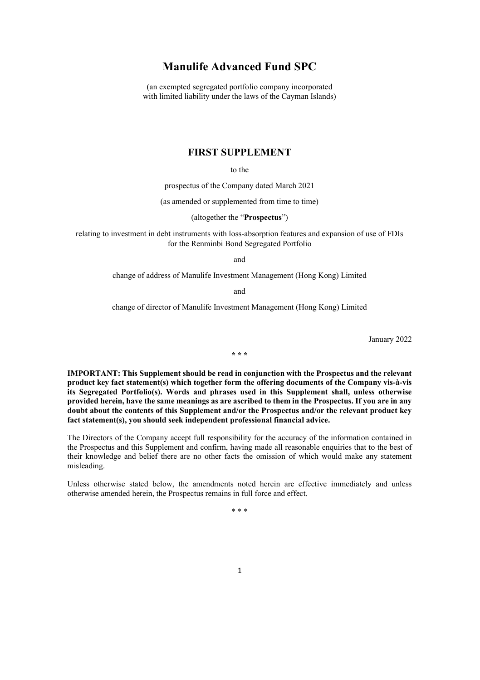## Manulife Advanced Fund SPC

(an exempted segregated portfolio company incorporated with limited liability under the laws of the Cayman Islands)

### FIRST SUPPLEMENT

to the

prospectus of the Company dated March 2021

(as amended or supplemented from time to time)

(altogether the "Prospectus")

relating to investment in debt instruments with loss-absorption features and expansion of use of FDIs for the Renminbi Bond Segregated Portfolio

and

change of address of Manulife Investment Management (Hong Kong) Limited

and

change of director of Manulife Investment Management (Hong Kong) Limited

January 2022

\* \* \*

IMPORTANT: This Supplement should be read in conjunction with the Prospectus and the relevant product key fact statement(s) which together form the offering documents of the Company vis-à-vis its Segregated Portfolio(s). Words and phrases used in this Supplement shall, unless otherwise provided herein, have the same meanings as are ascribed to them in the Prospectus. If you are in any doubt about the contents of this Supplement and/or the Prospectus and/or the relevant product key fact statement(s), you should seek independent professional financial advice.

The Directors of the Company accept full responsibility for the accuracy of the information contained in the Prospectus and this Supplement and confirm, having made all reasonable enquiries that to the best of their knowledge and belief there are no other facts the omission of which would make any statement misleading.

Unless otherwise stated below, the amendments noted herein are effective immediately and unless otherwise amended herein, the Prospectus remains in full force and effect.

\* \* \*

1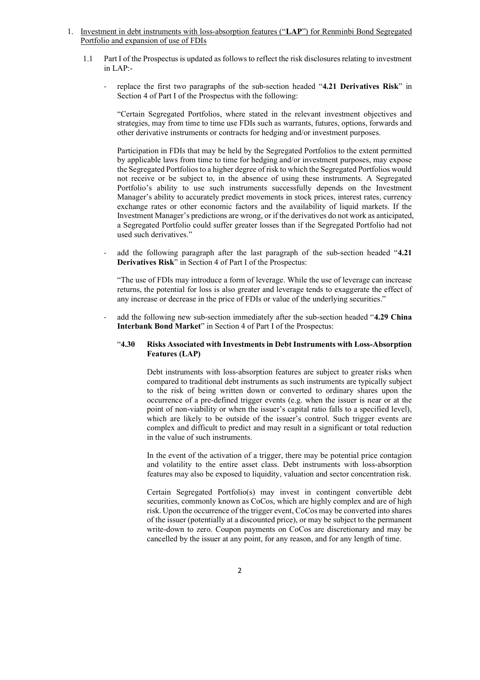- 1. Investment in debt instruments with loss-absorption features ("LAP") for Renminbi Bond Segregated Portfolio and expansion of use of FDIs
	- 1.1 Part I of the Prospectus is updated as follows to reflect the risk disclosures relating to investment in LAP:
		- replace the first two paragraphs of the sub-section headed "4.21 Derivatives Risk" in Section 4 of Part I of the Prospectus with the following:

"Certain Segregated Portfolios, where stated in the relevant investment objectives and strategies, may from time to time use FDIs such as warrants, futures, options, forwards and other derivative instruments or contracts for hedging and/or investment purposes.

Participation in FDIs that may be held by the Segregated Portfolios to the extent permitted by applicable laws from time to time for hedging and/or investment purposes, may expose the Segregated Portfolios to a higher degree of risk to which the Segregated Portfolios would not receive or be subject to, in the absence of using these instruments. A Segregated Portfolio's ability to use such instruments successfully depends on the Investment Manager's ability to accurately predict movements in stock prices, interest rates, currency exchange rates or other economic factors and the availability of liquid markets. If the Investment Manager's predictions are wrong, or if the derivatives do not work as anticipated, a Segregated Portfolio could suffer greater losses than if the Segregated Portfolio had not used such derivatives."

add the following paragraph after the last paragraph of the sub-section headed "4.21" Derivatives Risk" in Section 4 of Part I of the Prospectus:

"The use of FDIs may introduce a form of leverage. While the use of leverage can increase returns, the potential for loss is also greater and leverage tends to exaggerate the effect of any increase or decrease in the price of FDIs or value of the underlying securities."

add the following new sub-section immediately after the sub-section headed "4.29 China Interbank Bond Market" in Section 4 of Part I of the Prospectus:

### "4.30 Risks Associated with Investments in Debt Instruments with Loss-Absorption Features (LAP)

 Debt instruments with loss-absorption features are subject to greater risks when compared to traditional debt instruments as such instruments are typically subject to the risk of being written down or converted to ordinary shares upon the occurrence of a pre-defined trigger events (e.g. when the issuer is near or at the point of non-viability or when the issuer's capital ratio falls to a specified level), which are likely to be outside of the issuer's control. Such trigger events are complex and difficult to predict and may result in a significant or total reduction in the value of such instruments.

 In the event of the activation of a trigger, there may be potential price contagion and volatility to the entire asset class. Debt instruments with loss-absorption features may also be exposed to liquidity, valuation and sector concentration risk.

 Certain Segregated Portfolio(s) may invest in contingent convertible debt securities, commonly known as CoCos, which are highly complex and are of high risk. Upon the occurrence of the trigger event, CoCos may be converted into shares of the issuer (potentially at a discounted price), or may be subject to the permanent write-down to zero. Coupon payments on CoCos are discretionary and may be cancelled by the issuer at any point, for any reason, and for any length of time.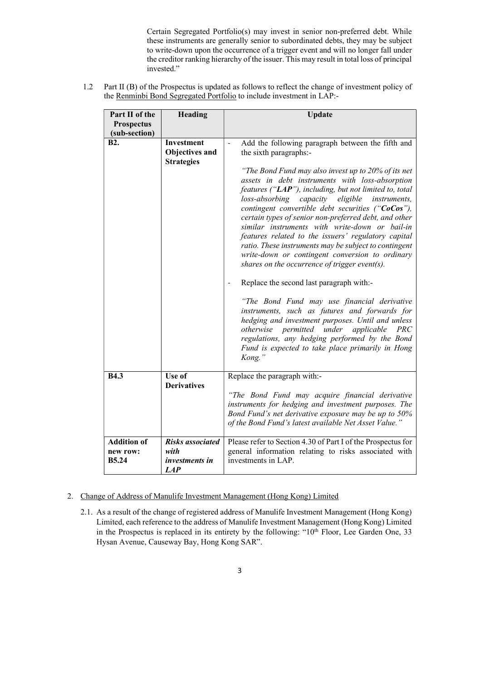Certain Segregated Portfolio(s) may invest in senior non-preferred debt. While these instruments are generally senior to subordinated debts, they may be subject to write-down upon the occurrence of a trigger event and will no longer fall under the creditor ranking hierarchy of the issuer. This may result in total loss of principal invested."

1.2 Part II (B) of the Prospectus is updated as follows to reflect the change of investment policy of the Renminbi Bond Segregated Portfolio to include investment in LAP:-

| Part II of the<br><b>Prospectus</b>            | Heading                                                         | Update                                                                                                                                                                                                                                                                                                                                                                                                                                                                                                                                                                                                                                                                                                           |
|------------------------------------------------|-----------------------------------------------------------------|------------------------------------------------------------------------------------------------------------------------------------------------------------------------------------------------------------------------------------------------------------------------------------------------------------------------------------------------------------------------------------------------------------------------------------------------------------------------------------------------------------------------------------------------------------------------------------------------------------------------------------------------------------------------------------------------------------------|
| (sub-section)                                  |                                                                 |                                                                                                                                                                                                                                                                                                                                                                                                                                                                                                                                                                                                                                                                                                                  |
| <b>B2.</b>                                     | <b>Investment</b><br><b>Obiectives and</b><br><b>Strategies</b> | Add the following paragraph between the fifth and<br>$\overline{\phantom{0}}$<br>the sixth paragraphs:-<br>"The Bond Fund may also invest up to 20% of its net<br>assets in debt instruments with loss-absorption<br>features ("LAP"), including, but not limited to, total<br>loss-absorbing capacity eligible instruments,<br>contingent convertible debt securities ("CoCos"),<br>certain types of senior non-preferred debt, and other<br>similar instruments with write-down or bail-in<br>features related to the issuers' regulatory capital<br>ratio. These instruments may be subject to contingent<br>write-down or contingent conversion to ordinary<br>shares on the occurrence of trigger event(s). |
|                                                |                                                                 | Replace the second last paragraph with:-<br>"The Bond Fund may use financial derivative<br>instruments, such as futures and forwards for<br>hedging and investment purposes. Until and unless<br>otherwise permitted under<br>applicable PRC<br>regulations, any hedging performed by the Bond<br>Fund is expected to take place primarily in Hong<br>Kong."                                                                                                                                                                                                                                                                                                                                                     |
| <b>B4.3</b>                                    | $\overline{Use}$ of<br><b>Derivatives</b>                       | Replace the paragraph with:-<br>"The Bond Fund may acquire financial derivative<br>instruments for hedging and investment purposes. The<br>Bond Fund's net derivative exposure may be up to 50%<br>of the Bond Fund's latest available Net Asset Value."                                                                                                                                                                                                                                                                                                                                                                                                                                                         |
| <b>Addition of</b><br>new row:<br><b>B5.24</b> | <b>Risks</b> associated<br>with<br>investments in<br>LAP        | Please refer to Section 4.30 of Part I of the Prospectus for<br>general information relating to risks associated with<br>investments in LAP.                                                                                                                                                                                                                                                                                                                                                                                                                                                                                                                                                                     |

## 2. Change of Address of Manulife Investment Management (Hong Kong) Limited

2.1. As a result of the change of registered address of Manulife Investment Management (Hong Kong) Limited, each reference to the address of Manulife Investment Management (Hong Kong) Limited in the Prospectus is replaced in its entirety by the following: " $10<sup>th</sup>$  Floor, Lee Garden One, 33 Hysan Avenue, Causeway Bay, Hong Kong SAR".